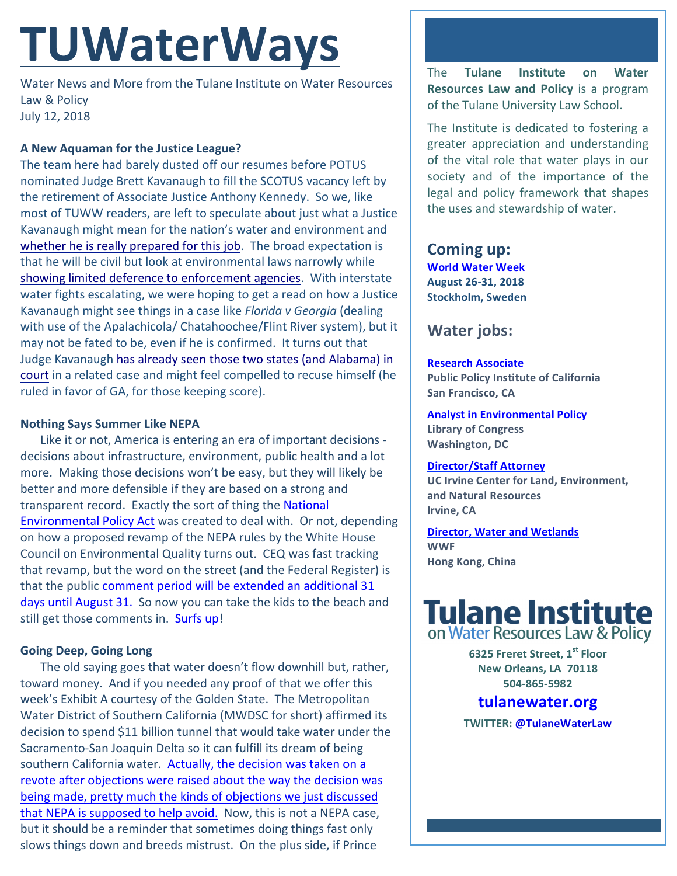# **TUWaterWays**

Water News and More from the Tulane Institute on Water Resources Law & Policy July 12, 2018

## **A New Aquaman for the Justice League?**

The team here had barely dusted off our resumes before POTUS nominated Judge Brett Kavanaugh to fill the SCOTUS vacancy left by the retirement of Associate Justice Anthony Kennedy. So we, like most of TUWW readers, are left to speculate about just what a Justice Kavanaugh might mean for the nation's water and environment and whether he is really prepared for this job. The broad expectation is that he will be civil but look at environmental laws narrowly while showing limited deference to enforcement agencies. With interstate water fights escalating, we were hoping to get a read on how a Justice Kavanaugh might see things in a case like *Florida v Georgia* (dealing with use of the Apalachicola/ Chatahoochee/Flint River system), but it may not be fated to be, even if he is confirmed. It turns out that Judge Kavanaugh has already seen those two states (and Alabama) in court in a related case and might feel compelled to recuse himself (he ruled in favor of GA, for those keeping score).

## **Nothing Says Summer Like NEPA**

Like it or not, America is entering an era of important decisions decisions about infrastructure, environment, public health and a lot more. Making those decisions won't be easy, but they will likely be better and more defensible if they are based on a strong and transparent record. Exactly the sort of thing the National Environmental Policy Act was created to deal with. Or not, depending on how a proposed revamp of the NEPA rules by the White House Council on Environmental Quality turns out. CEQ was fast tracking that revamp, but the word on the street (and the Federal Register) is that the public comment period will be extended an additional 31 days until August 31. So now you can take the kids to the beach and still get those comments in. Surfs up!

## **Going Deep, Going Long**

The old saying goes that water doesn't flow downhill but, rather, toward money. And if you needed any proof of that we offer this week's Exhibit A courtesy of the Golden State. The Metropolitan Water District of Southern California (MWDSC for short) affirmed its decision to spend \$11 billion tunnel that would take water under the Sacramento-San Joaquin Delta so it can fulfill its dream of being southern California water. Actually, the decision was taken on a revote after objections were raised about the way the decision was being made, pretty much the kinds of objections we just discussed that NEPA is supposed to help avoid. Now, this is not a NEPA case, but it should be a reminder that sometimes doing things fast only slows things down and breeds mistrust. On the plus side, if Prince

The **Tulane Institute on Water Resources Law and Policy** is a program of the Tulane University Law School.

The Institute is dedicated to fostering a greater appreciation and understanding of the vital role that water plays in our society and of the importance of the legal and policy framework that shapes the uses and stewardship of water.

## **Coming up:**

**World Water Week August 26-31, 2018 Stockholm, Sweden**

## **Water jobs:**

## **Research Associate**

**Public Policy Institute of California San Francisco, CA** 

**Analyst in Environmental Policy Library of Congress Washington, DC** 

## **Director/Staff Attorney**

**UC** Irvine Center for Land, Environment, **and Natural Resources Irvine, CA** 

**Director, Water and Wetlands WWF Hong Kong, China**



**6325 Freret Street, 1st Floor New Orleans, LA 70118 504-865-5982** 

## **tulanewater.org**

**TWITTER: @TulaneWaterLaw**